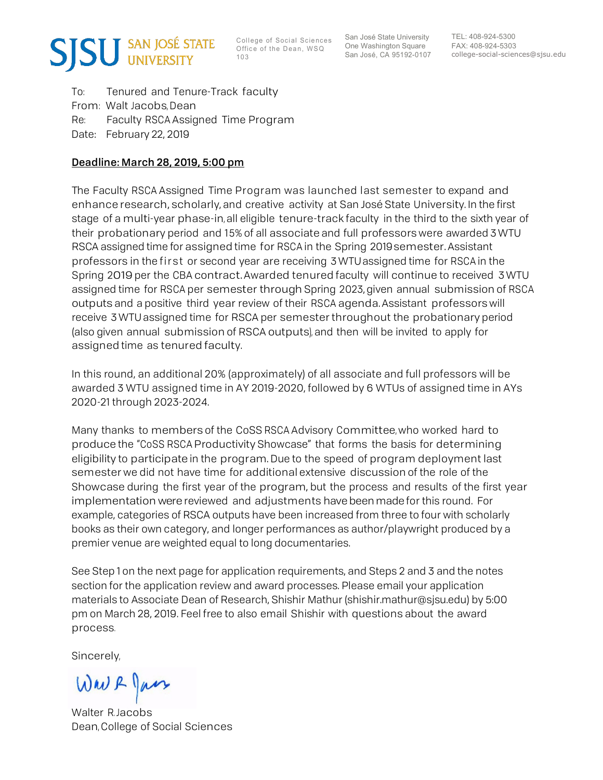

College of Social Sciences Office of the Dean, WSQ

San José State University San José, CA 95192-0107

College of Social Sciences San José State University TEL: 408-924-5300<br>
O ffice of the Dean, WSQ One Washington Square FAX: 408-924-5303<br>
San José, CA 95192-0107 college-social-sciences@sjsu.edu

 To: Tenured and Tenure-Track faculty From: Walt Jacobs, Dean Re: Date: February 22, 2019 Faculty RSCA Assigned Time Program

## Deadline: March 28, 2019, 5:00 pm

 The Faculty RSCA Assigned Time Program was launched last semester to expand and enhance research, scholarly, and creative activity at San José State University. In the first stage of a multi-year phase-in, all eligible tenure-track faculty in the third to the sixth year of their probationary period and 15% of all associate and full professors were awarded 3 WTU RSCA assigned time for assigned time for RSCA in the Spring 2019semester. Assistant professors in the first or second year are receiving 3 WTUassigned time for RSCA in the Spring 2019 per the CBA contract. Awarded tenured faculty will continue to received 3 WTU assigned time for RSCA per semester through Spring 2023, given annual submission of RSCA outputs and a positive third year review of their RSCA agenda. Assistant professors will receive 3 WTU assigned time for RSCA per semester throughout the probationary period (also given annual submission of RSCA outputs), and then will be invited to apply for assigned time as tenured faculty.

 In this round, an additional 20% (approximately) of all associate and full professors will be awarded 3 WTU assigned time in AY 2019-2020, followed by 6 WTUs of assigned time in AYs 2020-21 through 2023-2024.

 Many thanks to members of the CoSS RSCA Advisory Committee, who worked hard to produce the "CoSS RSCA Productivity Showcase" that forms the basis for determining eligibility to participate in the program. Due to the speed of program deployment last semester we did not have time for additional extensive discussion of the role of the Showcase during the first year of the program, but the process and results of the first year implementation were reviewed and adjustments have been made for this round. For example, categories of RSCA outputs have been increased from three to four with scholarly books as their own category, and longer performances as author/playwright produced by a premier venue are weighted equal to long documentaries.

 See Step 1 on the next page for application requirements, and Steps 2 and 3 and the notes section for the application review and award processes. Please email your application materials to Associate Dean of Research, Shishir Mathur ([shishir.mathur@sjsu.edu](mailto:shishir.mathur@sjsu.edu)) by 5:00 pm on March 28, 2019. Feel free to also email Shishir with questions about the award process.

Sincerely,

Wav & Jan

 Walter R. Jacobs Dean, College of Social Sciences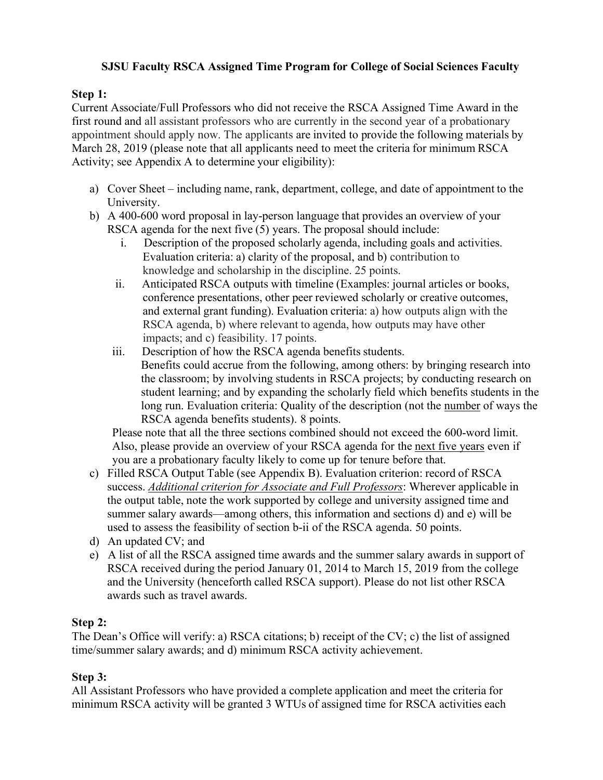## **SJSU Faculty RSCA Assigned Time Program for College of Social Sciences Faculty**

## **Step 1:**

 Current Associate/Full Professors who did not receive the RSCA Assigned Time Award in the first round and all assistant professors who are currently in the second year of a probationary appointment should apply now. The applicants are invited to provide the following materials by March 28, 2019 (please note that all applicants need to meet the criteria for minimum RSCA Activity; see Appendix A to determine your eligibility):

- a) Cover Sheet including name, rank, department, college, and date of appointment to the University.
- b) A 400-600 word proposal in lay-person language that provides an overview of your RSCA agenda for the next five (5) years. The proposal should include:
	- i. Description of the proposed scholarly agenda, including goals and activities. Evaluation criteria: a) clarity of the proposal, and b) contribution to knowledge and scholarship in the discipline. 25 points.
	- ii. Anticipated RSCA outputs with timeline (Examples: journal articles or books, conference presentations, other peer reviewed scholarly or creative outcomes, and external grant funding). Evaluation criteria: a) how outputs align with the RSCA agenda, b) where relevant to agenda, how outputs may have other impacts; and c) feasibility. 17 points.
	- iii. Description of how the RSCA agenda benefits students. Benefits could accrue from the following, among others: by bringing research into the classroom; by involving students in RSCA projects; by conducting research on student learning; and by expanding the scholarly field which benefits students in the long run. Evaluation criteria: Quality of the description (not the number of ways the RSCA agenda benefits students). 8 points.

 Please note that all the three sections combined should not exceed the 600-word limit. Also, please provide an overview of your RSCA agenda for the next five years even if you are a probationary faculty likely to come up for tenure before that.

- c) Filled RSCA Output Table (see Appendix B). Evaluation criterion: record of RSCA success. *Additional criterion for Associate and Full Professors*: Wherever applicable in the output table, note the work supported by college and university assigned time and summer salary awards—among others, this information and sections d) and e) will be used to assess the feasibility of section b-ii of the RSCA agenda. 50 points.
- d) An updated CV; and
- e) A list of all the RSCA assigned time awards and the summer salary awards in support of RSCA received during the period January 01, 2014 to March 15, 2019 from the college and the University (henceforth called RSCA support). Please do not list other RSCA awards such as travel awards.

## **Step 2:**

 The Dean's Office will verify: a) RSCA citations; b) receipt of the CV; c) the list of assigned time/summer salary awards; and d) minimum RSCA activity achievement.

## **Step 3:**

 All Assistant Professors who have provided a complete application and meet the criteria for minimum RSCA activity will be granted 3 WTUs of assigned time for RSCA activities each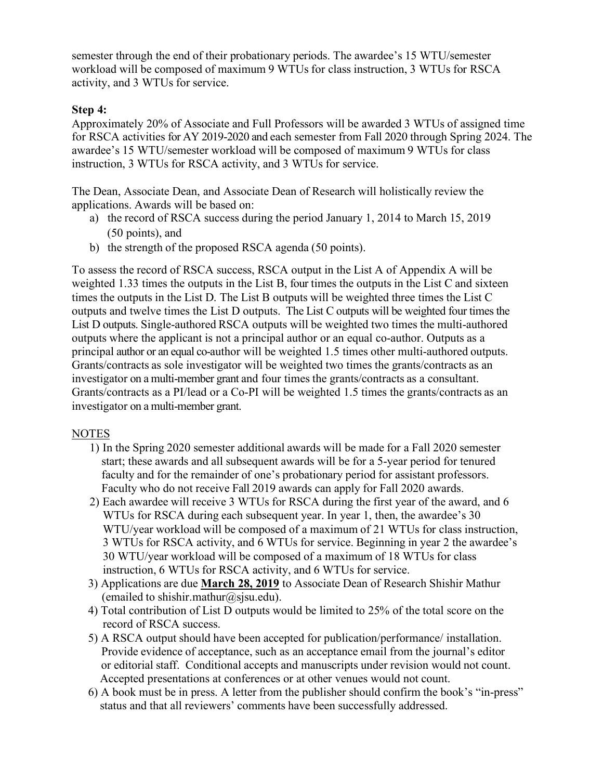semester through the end of their probationary periods. The awardee's 15 WTU/semester workload will be composed of maximum 9 WTUs for class instruction, 3 WTUs for RSCA activity, and 3 WTUs for service.

## **Step 4:**

 Approximately 20% of Associate and Full Professors will be awarded 3 WTUs of assigned time for RSCA activities for AY 2019-2020 and each semester from Fall 2020 through Spring 2024. The awardee's 15 WTU/semester workload will be composed of maximum 9 WTUs for class instruction, 3 WTUs for RSCA activity, and 3 WTUs for service.

 The Dean, Associate Dean, and Associate Dean of Research will holistically review the applications. Awards will be based on:

- a) the record of RSCA success during the period January 1, 2014 to March 15, 2019 (50 points), and
- b) the strength of the proposed RSCA agenda (50 points).

 To assess the record of RSCA success, RSCA output in the List A of Appendix A will be weighted 1.33 times the outputs in the List B, four times the outputs in the List C and sixteen times the outputs in the List D. The List B outputs will be weighted three times the List C outputs and twelve times the List D outputs. The List C outputs will be weighted four times the List D outputs. Single-authored RSCA outputs will be weighted two times the multi-authored outputs where the applicant is not a principal author or an equal co-author. Outputs as a principal author or an equal co-author will be weighted 1.5 times other multi-authored outputs. Grants/contracts as sole investigator will be weighted two times the grants/contracts as an investigator on a multi-member grant and four times the grants/contracts as a consultant. Grants/contracts as a PI/lead or a Co-PI will be weighted 1.5 times the grants/contracts as an investigator on a multi-member grant.<br>NOTES

- 1) In the Spring 2020 semester additional awards will be made for a Fall 2020 semester start; these awards and all subsequent awards will be for a 5-year period for tenured faculty and for the remainder of one's probationary period for assistant professors. Faculty who do not receive Fall 2019 awards can apply for Fall 2020 awards.
- 2) Each awardee will receive 3 WTUs for RSCA during the first year of the award, and 6 WTUs for RSCA during each subsequent year. In year 1, then, the awardee's 30 WTU/year workload will be composed of a maximum of 21 WTUs for class instruction, 3 WTUs for RSCA activity, and 6 WTUs for service. Beginning in year 2 the awardee's 30 WTU/year workload will be composed of a maximum of 18 WTUs for class instruction, 6 WTUs for RSCA activity, and 6 WTUs for service.
- 3) Applications are due **March 28, 2019** to Associate Dean of Research Shishir Mathur (emailed to [shishir.mathur@sjsu.edu](mailto:shishir.mathur@sjsu.edu)).
- 4) Total contribution of List D outputs would be limited to 25% of the total score on the record of RSCA success.
- 5) A RSCA output should have been accepted for publication/performance/ installation. Provide evidence of acceptance, such as an acceptance email from the journal's editor or editorial staff. Conditional accepts and manuscripts under revision would not count. Accepted presentations at conferences or at other venues would not count.
- 6) A book must be in press. A letter from the publisher should confirm the book's "in-press" status and that all reviewers' comments have been successfully addressed.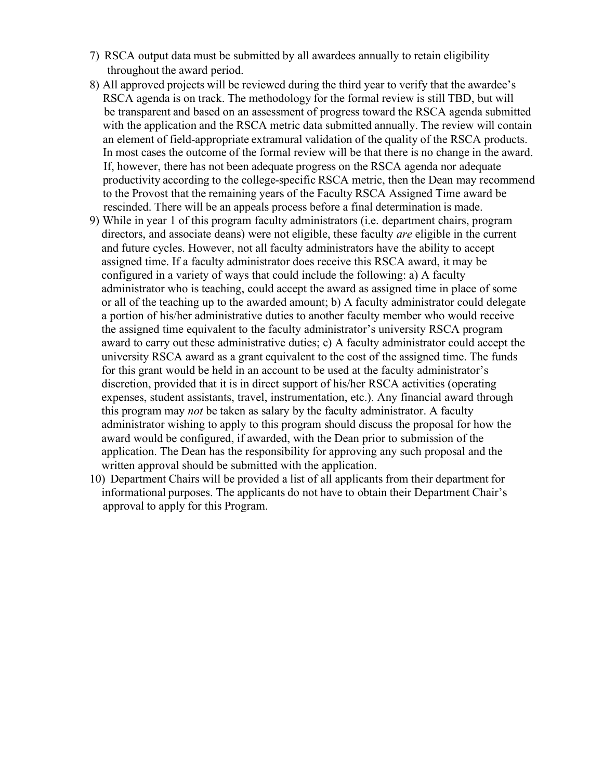- 7) RSCA output data must be submitted by all awardees annually to retain eligibility throughout the award period.
- 8) All approved projects will be reviewed during the third year to verify that the awardee's RSCA agenda is on track. The methodology for the formal review is still TBD, but will be transparent and based on an assessment of progress toward the RSCA agenda submitted with the application and the RSCA metric data submitted annually. The review will contain an element of field-appropriate extramural validation of the quality of the RSCA products. In most cases the outcome of the formal review will be that there is no change in the award. If, however, there has not been adequate progress on the RSCA agenda nor adequate productivity according to the college-specific RSCA metric, then the Dean may recommend to the Provost that the remaining years of the Faculty RSCA Assigned Time award be rescinded. There will be an appeals process before a final determination is made.
- 9) While in year 1 of this program faculty administrators (i.e. department chairs, program directors, and associate deans) were not eligible, these faculty *are* eligible in the current and future cycles. However, not all faculty administrators have the ability to accept assigned time. If a faculty administrator does receive this RSCA award, it may be configured in a variety of ways that could include the following: a) A faculty administrator who is teaching, could accept the award as assigned time in place of some or all of the teaching up to the awarded amount; b) A faculty administrator could delegate a portion of his/her administrative duties to another faculty member who would receive the assigned time equivalent to the faculty administrator's university RSCA program award to carry out these administrative duties; c) A faculty administrator could accept the university RSCA award as a grant equivalent to the cost of the assigned time. The funds for this grant would be held in an account to be used at the faculty administrator's discretion, provided that it is in direct support of his/her RSCA activities (operating expenses, student assistants, travel, instrumentation, etc.). Any financial award through this program may *not* be taken as salary by the faculty administrator. A faculty administrator wishing to apply to this program should discuss the proposal for how the award would be configured, if awarded, with the Dean prior to submission of the application. The Dean has the responsibility for approving any such proposal and the written approval should be submitted with the application.
- 10) Department Chairs will be provided a list of all applicants from their department for informational purposes. The applicants do not have to obtain their Department Chair's approval to apply for this Program.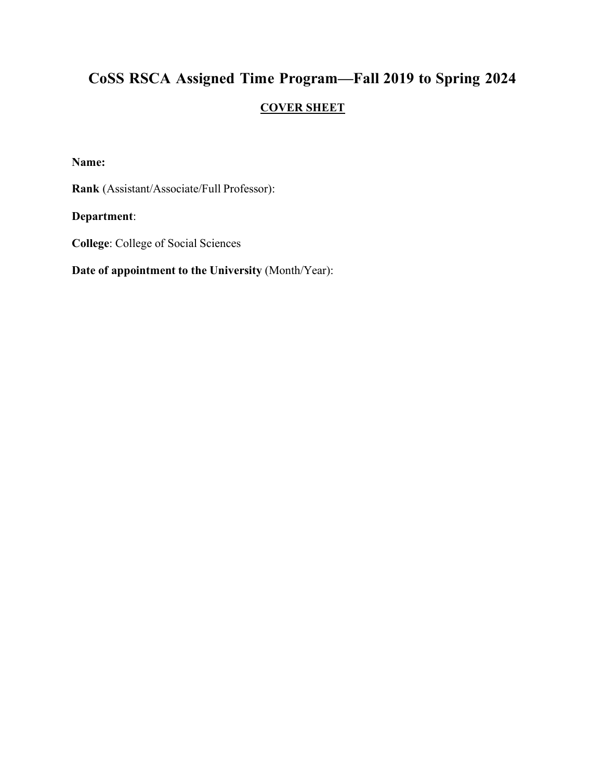# **CoSS RSCA Assigned Time Program—Fall 2019 to Spring 2024 COVER SHEET**

**Name:** 

**Rank** (Assistant/Associate/Full Professor):

**Department**:

**College**: College of Social Sciences

 **Date of appointment to the University** (Month/Year):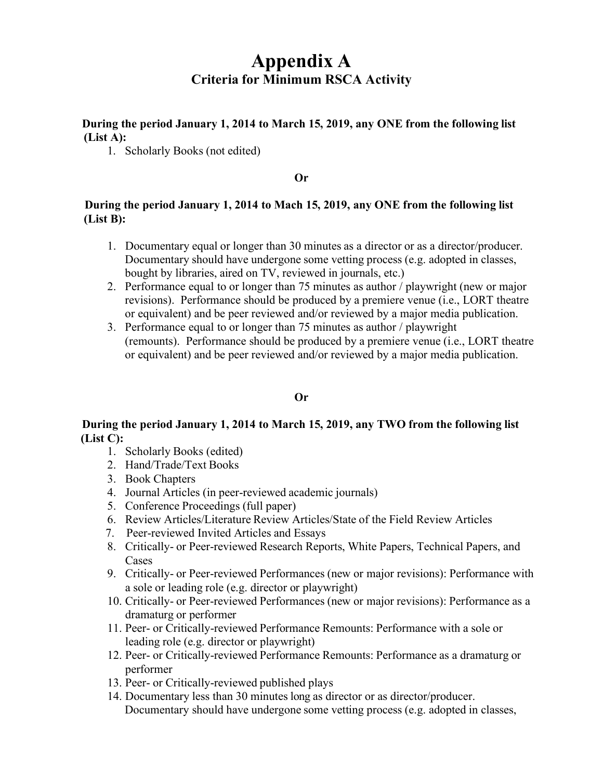## **Criteria for Minimum RSCA Activity Appendix A**

 **During the period January 1, 2014 to March 15, 2019, any ONE from the following list (List A):** 

1. Scholarly Books (not edited)

### **Or**

## **During the period January 1, 2014 to Mach 15, 2019, any ONE from the following list (List B):**

- 1. Documentary equal or longer than 30 minutes as a director or as a director/producer. Documentary should have undergone some vetting process (e.g. adopted in classes, bought by libraries, aired on TV, reviewed in journals, etc.)
- 2. Performance equal to or longer than 75 minutes as author / playwright (new or major revisions). Performance should be produced by a premiere venue (i.e., LORT theatre or equivalent) and be peer reviewed and/or reviewed by a major media publication.
- 3. Performance equal to or longer than 75 minutes as author / playwright (remounts). Performance should be produced by a premiere venue (i.e., LORT theatre or equivalent) and be peer reviewed and/or reviewed by a major media publication.

## **Or**

## **During the period January 1, 2014 to March 15, 2019, any TWO from the following list (List C):**

- 1. Scholarly Books (edited)
- 2. Hand/Trade/Text Books
- 3. Book Chapters
- 4. Journal Articles (in peer-reviewed academic journals)
- 5. Conference Proceedings (full paper)
- 6. Review Articles/Literature Review Articles/State of the Field Review Articles
- 7. Peer-reviewed Invited Articles and Essays
- 8. Critically- or Peer-reviewed Research Reports, White Papers, Technical Papers, and Cases
- 9. Critically- or Peer-reviewed Performances (new or major revisions): Performance with a sole or leading role (e.g. director or playwright)
- 10. Critically- or Peer-reviewed Performances (new or major revisions): Performance as a dramaturg or performer
- 11. Peer- or Critically-reviewed Performance Remounts: Performance with a sole or leading role (e.g. director or playwright)
- 12. Peer- or Critically-reviewed Performance Remounts: Performance as a dramaturg or performer
- 13. Peer- or Critically-reviewed published plays
- 14. Documentary less than 30 minutes long as director or as director/producer. Documentary should have undergone some vetting process (e.g. adopted in classes,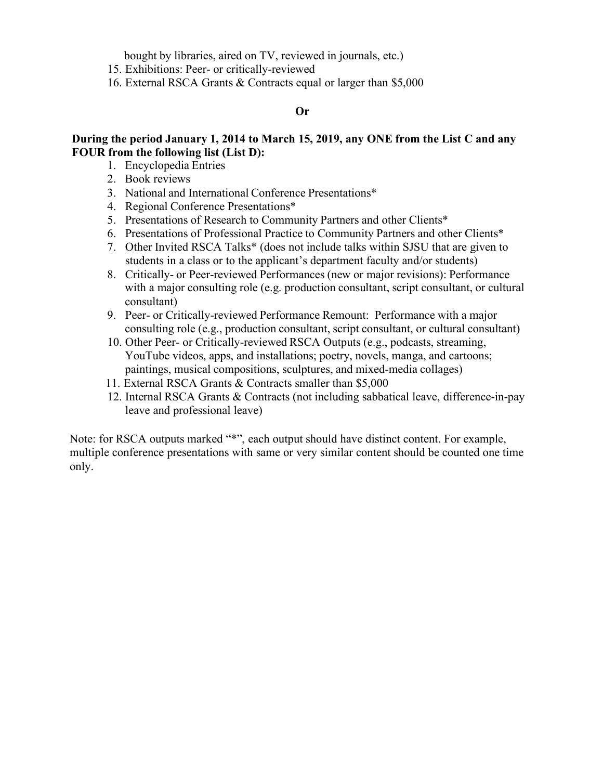bought by libraries, aired on TV, reviewed in journals, etc.)

- 15. Exhibitions: Peer- or critically-reviewed
- 16. External RSCA Grants & Contracts equal or larger than \$5,000

### **Or**

## **During the period January 1, 2014 to March 15, 2019, any ONE from the List C and any FOUR from the following list (List D):**

- 1. Encyclopedia Entries
- 2. Book reviews
- 3. National and International Conference Presentations\*
- 4. Regional Conference Presentations\*
- 5. Presentations of Research to Community Partners and other Clients\*
- 6. Presentations of Professional Practice to Community Partners and other Clients\*
- 7. Other Invited RSCA Talks\* (does not include talks within SJSU that are given to students in a class or to the applicant's department faculty and/or students)
- 8. Critically- or Peer-reviewed Performances (new or major revisions): Performance with a major consulting role (e.g. production consultant, script consultant, or cultural consultant)
- 9. Peer- or Critically-reviewed Performance Remount: Performance with a major consulting role (e.g., production consultant, script consultant, or cultural consultant)
- 10. Other Peer- or Critically-reviewed RSCA Outputs (e.g., podcasts, streaming, YouTube videos, apps, and installations; poetry, novels, manga, and cartoons; paintings, musical compositions, sculptures, and mixed-media collages)
- 11. External RSCA Grants & Contracts smaller than \$5,000
- 12. Internal RSCA Grants & Contracts (not including sabbatical leave, difference-in-pay leave and professional leave)

Note: for RSCA outputs marked "\*", each output should have distinct content. For example, multiple conference presentations with same or very similar content should be counted one time only.